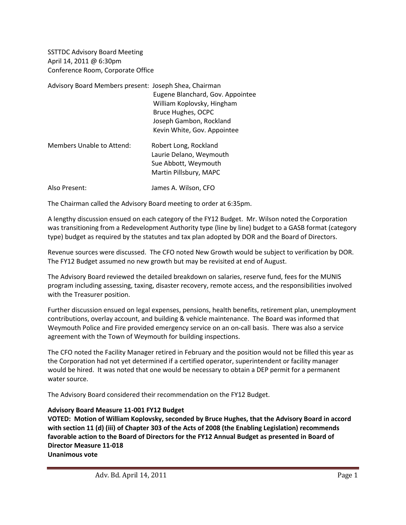SSTTDC Advisory Board Meeting April 14, 2011 @ 6:30pm Conference Room, Corporate Office

| Advisory Board Members present: Joseph Shea, Chairman | Eugene Blanchard, Gov. Appointee<br>William Koplovsky, Hingham<br>Bruce Hughes, OCPC               |
|-------------------------------------------------------|----------------------------------------------------------------------------------------------------|
|                                                       | Joseph Gambon, Rockland<br>Kevin White, Gov. Appointee                                             |
| Members Unable to Attend:                             | Robert Long, Rockland<br>Laurie Delano, Weymouth<br>Sue Abbott, Weymouth<br>Martin Pillsbury, MAPC |
| Also Present:                                         | James A. Wilson, CFO                                                                               |

The Chairman called the Advisory Board meeting to order at 6:35pm.

A lengthy discussion ensued on each category of the FY12 Budget. Mr. Wilson noted the Corporation was transitioning from a Redevelopment Authority type (line by line) budget to a GASB format (category type) budget as required by the statutes and tax plan adopted by DOR and the Board of Directors.

Revenue sources were discussed. The CFO noted New Growth would be subject to verification by DOR. The FY12 Budget assumed no new growth but may be revisited at end of August.

The Advisory Board reviewed the detailed breakdown on salaries, reserve fund, fees for the MUNIS program including assessing, taxing, disaster recovery, remote access, and the responsibilities involved with the Treasurer position.

Further discussion ensued on legal expenses, pensions, health benefits, retirement plan, unemployment contributions, overlay account, and building & vehicle maintenance. The Board was informed that Weymouth Police and Fire provided emergency service on an on-call basis. There was also a service agreement with the Town of Weymouth for building inspections.

The CFO noted the Facility Manager retired in February and the position would not be filled this year as the Corporation had not yet determined if a certified operator, superintendent or facility manager would be hired. It was noted that one would be necessary to obtain a DEP permit for a permanent water source.

The Advisory Board considered their recommendation on the FY12 Budget.

### **Advisory Board Measure 11-001 FY12 Budget**

**VOTED: Motion of William Koplovsky, seconded by Bruce Hughes, that the Advisory Board in accord with section 11 (d) (iii) of Chapter 303 of the Acts of 2008 (the Enabling Legislation) recommends favorable action to the Board of Directors for the FY12 Annual Budget as presented in Board of Director Measure 11-018 Unanimous vote**